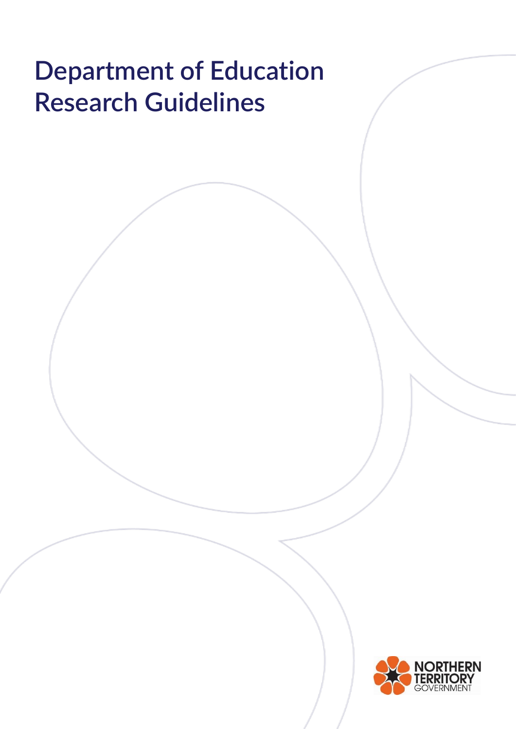# **Department of Education Research Guidelines**

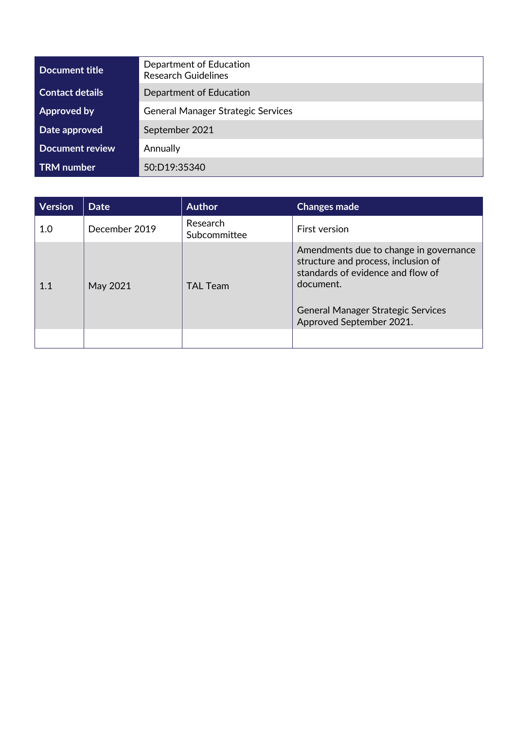| Department of Education<br><b>Research Guidelines</b> |  |  |
|-------------------------------------------------------|--|--|
| <b>Contact details</b><br>Department of Education     |  |  |
| <b>General Manager Strategic Services</b>             |  |  |
| September 2021                                        |  |  |
| <b>Document review</b><br>Annually                    |  |  |
| 50:D19:35340                                          |  |  |
|                                                       |  |  |

| <b>Version</b> | <b>Date</b>   | <b>Author</b>            | <b>Changes made</b>                                                                                                                                                                                      |
|----------------|---------------|--------------------------|----------------------------------------------------------------------------------------------------------------------------------------------------------------------------------------------------------|
| 1.0            | December 2019 | Research<br>Subcommittee | <b>First version</b>                                                                                                                                                                                     |
| 1.1            | May 2021      | <b>TAL Team</b>          | Amendments due to change in governance<br>structure and process, inclusion of<br>standards of evidence and flow of<br>document.<br><b>General Manager Strategic Services</b><br>Approved September 2021. |
|                |               |                          |                                                                                                                                                                                                          |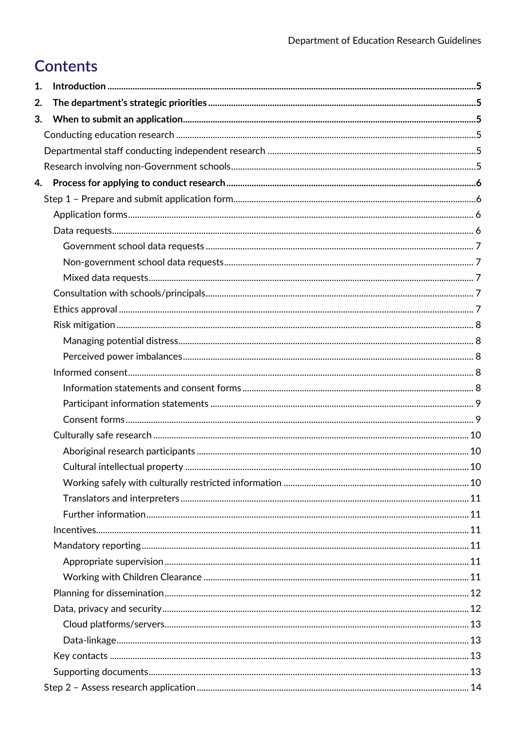# Contents

| 1. |  |
|----|--|
| 2. |  |
| 3. |  |
|    |  |
|    |  |
|    |  |
|    |  |
|    |  |
|    |  |
|    |  |
|    |  |
|    |  |
|    |  |
|    |  |
|    |  |
|    |  |
|    |  |
|    |  |
|    |  |
|    |  |
|    |  |
|    |  |
|    |  |
|    |  |
|    |  |
|    |  |
|    |  |
|    |  |
|    |  |
|    |  |
|    |  |
|    |  |
|    |  |
|    |  |
|    |  |
|    |  |
|    |  |
|    |  |
|    |  |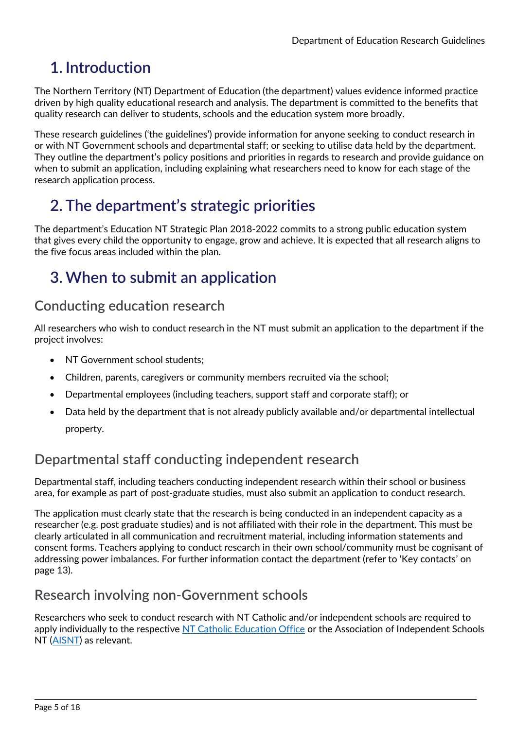# <span id="page-4-0"></span>**1. Introduction**

The Northern Territory (NT) Department of Education (the department) values evidence informed practice driven by high quality educational research and analysis. The department is committed to the benefits that quality research can deliver to students, schools and the education system more broadly.

These research guidelines ('the guidelines') provide information for anyone seeking to conduct research in or with NT Government schools and departmental staff; or seeking to utilise data held by the department. They outline the department's policy positions and priorities in regards to research and provide guidance on when to submit an application, including explaining what researchers need to know for each stage of the research application process.

# <span id="page-4-1"></span>**2. The department's strategic priorities**

The department's Education NT Strategic Plan 2018-2022 commits to a strong public education system that gives every child the opportunity to engage, grow and achieve. It is expected that all research aligns to the five focus areas included within the plan.

# <span id="page-4-2"></span>**3. When to submit an application**

# <span id="page-4-3"></span>**Conducting education research**

All researchers who wish to conduct research in the NT must submit an application to the department if the project involves:

- NT Government school students;
- Children, parents, caregivers or community members recruited via the school;
- Departmental employees (including teachers, support staff and corporate staff); or
- Data held by the department that is not already publicly available and/or departmental intellectual property.

# <span id="page-4-4"></span>**Departmental staff conducting independent research**

Departmental staff, including teachers conducting independent research within their school or business area, for example as part of post-graduate studies, must also submit an application to conduct research.

The application must clearly state that the research is being conducted in an independent capacity as a researcher (e.g. post graduate studies) and is not affiliated with their role in the department. This must be clearly articulated in all communication and recruitment material, including information statements and consent forms. Teachers applying to conduct research in their own school/community must be cognisant of addressing power imbalances. For further information contact the department (refer to 'Key contacts' on page 13).

# <span id="page-4-5"></span>**Research involving non-Government schools**

Researchers who seek to conduct research with NT Catholic and/or independent schools are required to apply individually to the respective [NT Catholic Education Office](http://www.ceont.catholic.edu.au/home) or the Association of Independent Schools NT [\(AISNT\)](https://www.aisnt.asn.au/) as relevant.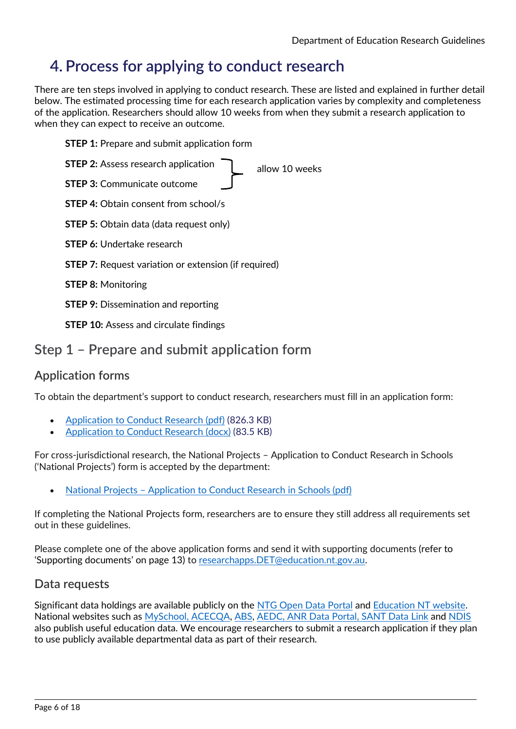# <span id="page-5-0"></span>**4. Process for applying to conduct research**

There are ten steps involved in applying to conduct research. These are listed and explained in further detail below. The estimated processing time for each research application varies by complexity and completeness of the application. Researchers should allow 10 weeks from when they submit a research application to when they can expect to receive an outcome.

**STEP 1:** Prepare and submit application form

| <b>STEP 2: Assess research application</b><br>allow 10 weeks |
|--------------------------------------------------------------|
| <b>STEP 3: Communicate outcome</b>                           |
| <b>STEP 4: Obtain consent from school/s</b>                  |
| <b>STEP 5:</b> Obtain data (data request only)               |
| <b>STEP 6:</b> Undertake research                            |
| <b>STEP 7:</b> Request variation or extension (if required)  |
| <b>STEP 8: Monitoring</b>                                    |
| <b>STEP 9:</b> Dissemination and reporting                   |
| <b>STEP 10: Assess and circulate findings</b>                |

# <span id="page-5-1"></span>**Step 1 – Prepare and submit application form**

## <span id="page-5-2"></span>**Application forms**

To obtain the department's support to conduct research, researchers must fill in an application form:

- [Application to Conduct Research \(pdf\)](https://education.nt.gov.au/__data/assets/pdf_file/0010/795250/NT-Research-application-form.pdf) (826.3 KB)
- [Application to Conduct Research \(docx\)](https://education.nt.gov.au/__data/assets/word_doc/0011/795251/NT-Research-application-form.docx) (83.5 KB)

For cross-jurisdictional research, the National Projects – Application to Conduct Research in Schools ('National Projects') form is accepted by the department:

• National Projects – [Application to Conduct Research](https://www.aare.edu.au/assets/documents/NatAppForm-Nov2020.pdf) in Schools (pdf)

If completing the National Projects form, researchers are to ensure they still address all requirements set out in these guidelines.

Please complete one of the above application forms and send it with supporting documents (refer to 'Supporting documents' on page 13) to [researchapps.DET@education.nt.gov.au.](mailto:researchapps.DET@education.nt.gov.au)

### <span id="page-5-3"></span>**Data requests**

Significant data holdings are available publicly on the [NTG Open Data Portal](https://data.nt.gov.au/) and [Education NT website.](https://education.nt.gov.au/education/statistics-research-and-strategies/strategic-plan) National websites such as [MySchool,](https://www.myschool.edu.au/) [ACECQA,](https://www.acecqa.gov.au/) [ABS,](https://www.abs.gov.au/) [AEDC,](https://www.aedc.gov.au/) [ANR Data Portal,](https://www.acara.edu.au/reporting/national-report-on-schooling-in-australia/national-report-on-schooling-in-australia-data-portal) [SANT Data Link](https://www.santdatalink.org.au/available_datasets) and [NDIS](https://www.ndis.gov.au/about-us/publications/quarterly-reports) also publish useful education data. We encourage researchers to submit a research application if they plan to use publicly available departmental data as part of their research.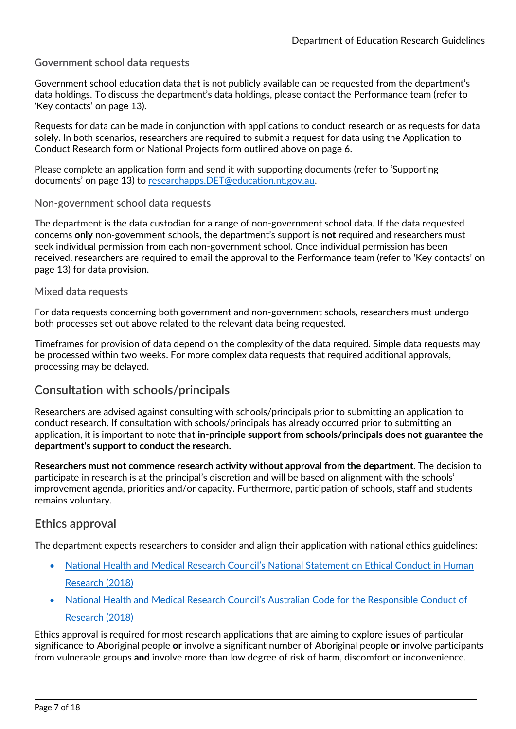#### <span id="page-6-0"></span>**Government school data requests**

Government school education data that is not publicly available can be requested from the department's data holdings. To discuss the department's data holdings, please contact the Performance team (refer to 'Key contacts' on page 13).

Requests for data can be made in conjunction with applications to conduct research or as requests for data solely. In both scenarios, researchers are required to submit a request for data using the Application to Conduct Research form or National Projects form outlined above on page 6.

Please complete an application form and send it with supporting documents (refer to 'Supporting documents' on page 13) to [researchapps.DET@education.nt.gov.au.](mailto:researchapps.DET@education.nt.gov.au)

#### <span id="page-6-1"></span>**Non-government school data requests**

The department is the data custodian for a range of non-government school data. If the data requested concerns **only** non-government schools, the department's support is **not** required and researchers must seek individual permission from each non-government school. Once individual permission has been received, researchers are required to email the approval to the Performance team (refer to 'Key contacts' on page 13) for data provision.

#### <span id="page-6-2"></span>**Mixed data requests**

For data requests concerning both government and non-government schools, researchers must undergo both processes set out above related to the relevant data being requested.

Timeframes for provision of data depend on the complexity of the data required. Simple data requests may be processed within two weeks. For more complex data requests that required additional approvals, processing may be delayed.

### <span id="page-6-3"></span>**Consultation with schools/principals**

Researchers are advised against consulting with schools/principals prior to submitting an application to conduct research. If consultation with schools/principals has already occurred prior to submitting an application, it is important to note that **in-principle support from schools/principals does not guarantee the department's support to conduct the research.** 

**Researchers must not commence research activity without approval from the department.** The decision to participate in research is at the principal's discretion and will be based on alignment with the schools' improvement agenda, priorities and/or capacity. Furthermore, participation of schools, staff and students remains voluntary.

### <span id="page-6-4"></span>**Ethics approval**

The department expects researchers to consider and align their application with national ethics guidelines:

- National Health and Medical Research Council's National Statement on Ethical Conduct in Human Research (2018)
- [National Health and Medical Research Council's](https://www.nhmrc.gov.au/about-us/publications/australian-code-responsible-conduct-research-2007) Australian Code for the Responsible Conduct of [Research](https://www.nhmrc.gov.au/about-us/publications/australian-code-responsible-conduct-research-2007) (2018)

Ethics approval is required for most research applications that are aiming to explore issues of particular significance to Aboriginal people **or** involve a significant number of Aboriginal people **or** involve participants from vulnerable groups **and** involve more than low degree of risk of harm, discomfort or inconvenience.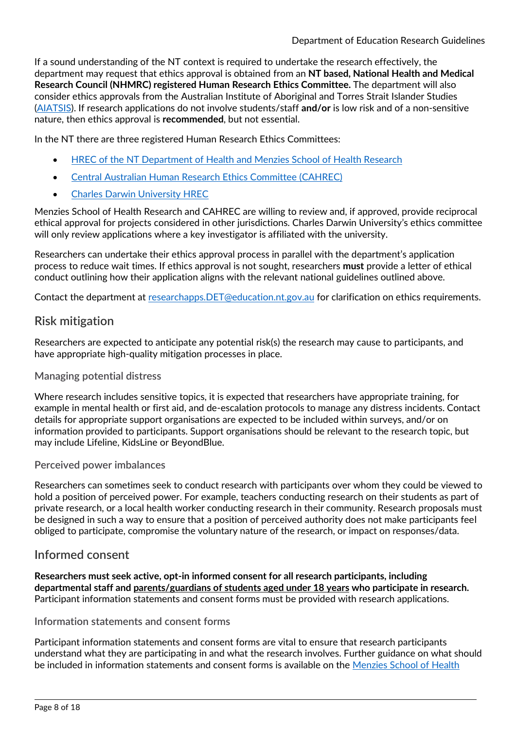If a sound understanding of the NT context is required to undertake the research effectively, the department may request that ethics approval is obtained from an **NT based, National Health and Medical Research Council (NHMRC) registered Human Research Ethics Committee.** The department will also consider ethics approvals from the Australian Institute of Aboriginal and Torres Strait Islander Studies [\(AIATSIS\)](https://aiatsis.gov.au/research/ethical-research). If research applications do not involve students/staff **and/or** is low risk and of a non-sensitive nature, then ethics approval is **recommended**, but not essential.

In the NT there are three registered Human Research Ethics Committees:

- HREC of the NT [Department of Health and Menzies School of Health Research](https://www.menzies.edu.au/page/Research/Ethics_approval/)
- [Central Australian Human Research Ethics Committee](https://www.crh.org.au/centre-for-remote-health-research) (CAHREC)
- **[Charles Darwin University HREC](https://www.cdu.edu.au/research/ori/human-ethics)**

Menzies School of Health Research and CAHREC are willing to review and, if approved, provide reciprocal ethical approval for projects considered in other jurisdictions. Charles Darwin University's ethics committee will only review applications where a key investigator is affiliated with the university.

Researchers can undertake their ethics approval process in parallel with the department's application process to reduce wait times. If ethics approval is not sought, researchers **must** provide a letter of ethical conduct outlining how their application aligns with the relevant national guidelines outlined above.

Contact the department at [researchapps.DET@education.nt.gov.au](mailto:researchapps.DET@education.nt.gov.au) for clarification on ethics requirements.

### <span id="page-7-0"></span>**Risk mitigation**

Researchers are expected to anticipate any potential risk(s) the research may cause to participants, and have appropriate high-quality mitigation processes in place.

#### <span id="page-7-1"></span>**Managing potential distress**

Where research includes sensitive topics, it is expected that researchers have appropriate training, for example in mental health or first aid, and de-escalation protocols to manage any distress incidents. Contact details for appropriate support organisations are expected to be included within surveys, and/or on information provided to participants. Support organisations should be relevant to the research topic, but may include Lifeline, KidsLine or BeyondBlue.

#### <span id="page-7-2"></span>**Perceived power imbalances**

Researchers can sometimes seek to conduct research with participants over whom they could be viewed to hold a position of perceived power. For example, teachers conducting research on their students as part of private research, or a local health worker conducting research in their community. Research proposals must be designed in such a way to ensure that a position of perceived authority does not make participants feel obliged to participate, compromise the voluntary nature of the research, or impact on responses/data.

### <span id="page-7-3"></span>**Informed consent**

**Researchers must seek active, opt-in informed consent for all research participants, including departmental staff and parents/guardians of students aged under 18 years who participate in research.**  Participant information statements and consent forms must be provided with research applications.

#### <span id="page-7-4"></span>**Information statements and consent forms**

Participant information statements and consent forms are vital to ensure that research participants understand what they are participating in and what the research involves. Further guidance on what should be included in information statements and consent forms is available on the [Menzies School of Health](https://www.menzies.edu.au/content/Document/Participant%20Information%20Sheet%20Guidelines%202017.pdf)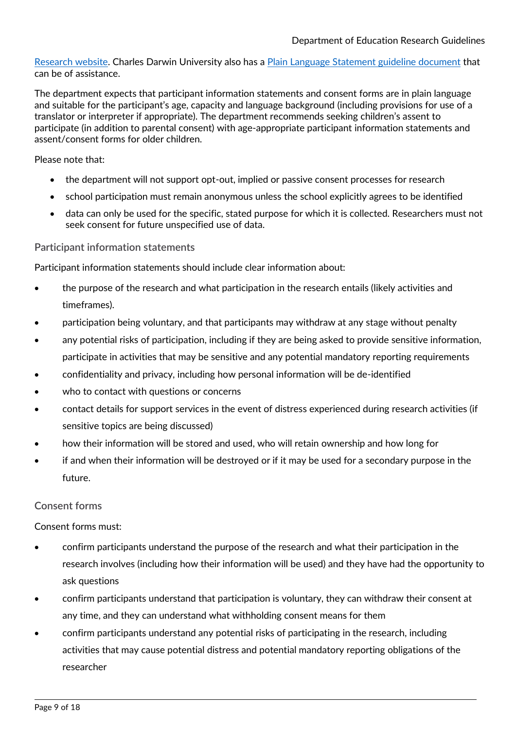[Research website.](https://www.menzies.edu.au/content/Document/Participant%20Information%20Sheet%20Guidelines%202017.pdf) Charles Darwin University also has a [Plain Language Statement guideline document](https://www.cdu.edu.au/sites/default/files/ori/pls_consent_guidelines_march2017.pdf) that can be of assistance.

The department expects that participant information statements and consent forms are in plain language and suitable for the participant's age, capacity and language background (including provisions for use of a translator or interpreter if appropriate). The department recommends seeking children's assent to participate (in addition to parental consent) with age-appropriate participant information statements and assent/consent forms for older children.

Please note that:

- the department will not support opt-out, implied or passive consent processes for research
- school participation must remain anonymous unless the school explicitly agrees to be identified
- data can only be used for the specific, stated purpose for which it is collected. Researchers must not seek consent for future unspecified use of data.

#### <span id="page-8-0"></span>**Participant information statements**

Participant information statements should include clear information about:

- the purpose of the research and what participation in the research entails (likely activities and timeframes).
- participation being voluntary, and that participants may withdraw at any stage without penalty
- any potential risks of participation, including if they are being asked to provide sensitive information, participate in activities that may be sensitive and any potential mandatory reporting requirements
- confidentiality and privacy, including how personal information will be de-identified
- who to contact with questions or concerns
- contact details for support services in the event of distress experienced during research activities (if sensitive topics are being discussed)
- how their information will be stored and used, who will retain ownership and how long for
- if and when their information will be destroyed or if it may be used for a secondary purpose in the future.

#### <span id="page-8-1"></span>**Consent forms**

Consent forms must:

- confirm participants understand the purpose of the research and what their participation in the research involves (including how their information will be used) and they have had the opportunity to ask questions
- confirm participants understand that participation is voluntary, they can withdraw their consent at any time, and they can understand what withholding consent means for them
- confirm participants understand any potential risks of participating in the research, including activities that may cause potential distress and potential mandatory reporting obligations of the researcher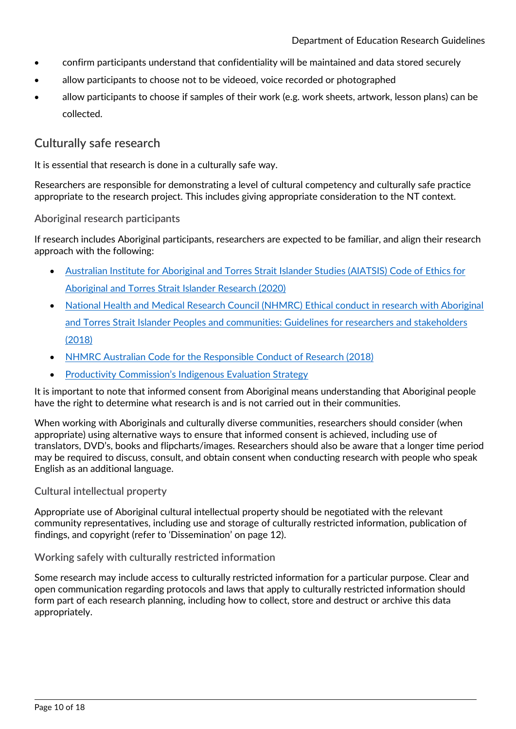- confirm participants understand that confidentiality will be maintained and data stored securely
- allow participants to choose not to be videoed, voice recorded or photographed
- allow participants to choose if samples of their work (e.g. work sheets, artwork, lesson plans) can be collected.

### <span id="page-9-0"></span>**Culturally safe research**

It is essential that research is done in a culturally safe way.

Researchers are responsible for demonstrating a level of cultural competency and culturally safe practice appropriate to the research project. This includes giving appropriate consideration to the NT context.

#### <span id="page-9-1"></span>**Aboriginal research participants**

If research includes Aboriginal participants, researchers are expected to be familiar, and align their research approach with the following:

- [Australian Institute for Aboriginal and Torres Strait Islander Studies \(AIATSIS\) Code of Ethics for](https://aiatsis.gov.au/sites/default/files/2020-10/aiatsis-code-ethics.pdf)  [Aboriginal and Torres Strait Islander Research](https://aiatsis.gov.au/sites/default/files/2020-10/aiatsis-code-ethics.pdf) (2020)
- National Health and Medical Research Council (NHMRC) Ethical conduct in research with Aboriginal [and Torres Strait Islander Peoples and communities: Guidelines for researchers and stakeholders](https://www.nhmrc.gov.au/about-us/resources/ethical-conduct-research-aboriginal-and-torres-strait-islander-peoples-and-communities)  [\(2018\)](https://www.nhmrc.gov.au/about-us/resources/ethical-conduct-research-aboriginal-and-torres-strait-islander-peoples-and-communities)
- NHMRC Australian Code for the [Responsible Conduct of Research \(2018\)](https://www.nhmrc.gov.au/about-us/publications/australian-code-responsible-conduct-research-2018)
- Productivity Commission'[s Indigenous Evaluation Strategy](https://www.pc.gov.au/inquiries/completed/indigenous-evaluation/strategy/indigenous-evaluation-strategy.pdf)

It is important to note that informed consent from Aboriginal means understanding that Aboriginal people have the right to determine what research is and is not carried out in their communities.

When working with Aboriginals and culturally diverse communities, researchers should consider (when appropriate) using alternative ways to ensure that informed consent is achieved, including use of translators, DVD's, books and flipcharts/images. Researchers should also be aware that a longer time period may be required to discuss, consult, and obtain consent when conducting research with people who speak English as an additional language.

#### <span id="page-9-2"></span>**Cultural intellectual property**

Appropriate use of Aboriginal cultural intellectual property should be negotiated with the relevant community representatives, including use and storage of culturally restricted information, publication of findings, and copyright (refer to 'Dissemination' on page 12).

#### <span id="page-9-3"></span>**Working safely with culturally restricted information**

Some research may include access to culturally restricted information for a particular purpose. Clear and open communication regarding protocols and laws that apply to culturally restricted information should form part of each research planning, including how to collect, store and destruct or archive this data appropriately.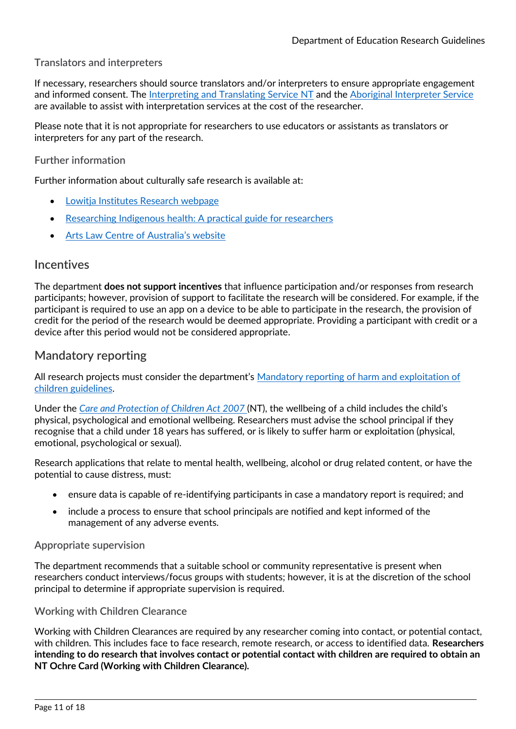#### <span id="page-10-0"></span>**Translators and interpreters**

If necessary, researchers should source translators and/or interpreters to ensure appropriate engagement and informed consent. The [Interpreting and Translating Service NT](https://nt.gov.au/community/interpreting-and-translating-services/interpreting-and-translating-service-nt/about-interpreting-and-translating-service-nt) and the [Aboriginal Interpreter Service](https://nt.gov.au/community/interpreting-and-translating-services/aboriginal-interpreter-service) are available to assist with interpretation services at the cost of the researcher.

Please note that it is not appropriate for researchers to use educators or assistants as translators or interpreters for any part of the research.

#### <span id="page-10-1"></span>**Further information**

Further information about culturally safe research is available at:

- [Lowitja Institutes Research webpage](https://www.lowitja.org.au/research)
- [Researching Indigenous health: A](https://www.lowitja.org.au/page/services/resources/health-services-and-workforce/workforce/Researching-Indigenous-Health-Guide) practical guide for researchers
- [Arts Law Centre of Australia's website](https://www.artslaw.com.au/information-sheet/indigenous-cultural-and-intellectual-property-icip-aitb/)

#### <span id="page-10-2"></span>**Incentives**

The department **does not support incentives** that influence participation and/or responses from research participants; however, provision of support to facilitate the research will be considered. For example, if the participant is required to use an app on a device to be able to participate in the research, the provision of credit for the period of the research would be deemed appropriate. Providing a participant with credit or a device after this period would not be considered appropriate.

### <span id="page-10-3"></span>**Mandatory reporting**

All research projects must consider the department's [Mandatory reporting of harm and exploitation of](https://education.nt.gov.au/education/policies/mandatory-reporting-of-harm-and-exploitation-of-children)  [children guidelines.](https://education.nt.gov.au/education/policies/mandatory-reporting-of-harm-and-exploitation-of-children)

Under the *[Care and Protection of Children Act 2007](https://legislation.nt.gov.au/Legislation/CARE-AND-PROTECTION-OF-CHILDREN-ACT-2007)* (NT), the wellbeing of a child includes the child's physical, psychological and emotional wellbeing. Researchers must advise the school principal if they recognise that a child under 18 years has suffered, or is likely to suffer harm or exploitation (physical, emotional, psychological or sexual).

Research applications that relate to mental health, wellbeing, alcohol or drug related content, or have the potential to cause distress, must:

- ensure data is capable of re-identifying participants in case a mandatory report is required; and
- include a process to ensure that school principals are notified and kept informed of the management of any adverse events.

#### <span id="page-10-4"></span>**Appropriate supervision**

The department recommends that a suitable school or community representative is present when researchers conduct interviews/focus groups with students; however, it is at the discretion of the school principal to determine if appropriate supervision is required.

#### <span id="page-10-5"></span>**Working with Children Clearance**

Working with Children Clearances are required by any researcher coming into contact, or potential contact, with children. This includes face to face research, remote research, or access to identified data. **Researchers intending to do research that involves contact or potential contact with children are required to obtain an NT Ochre Card (Working with Children Clearance).**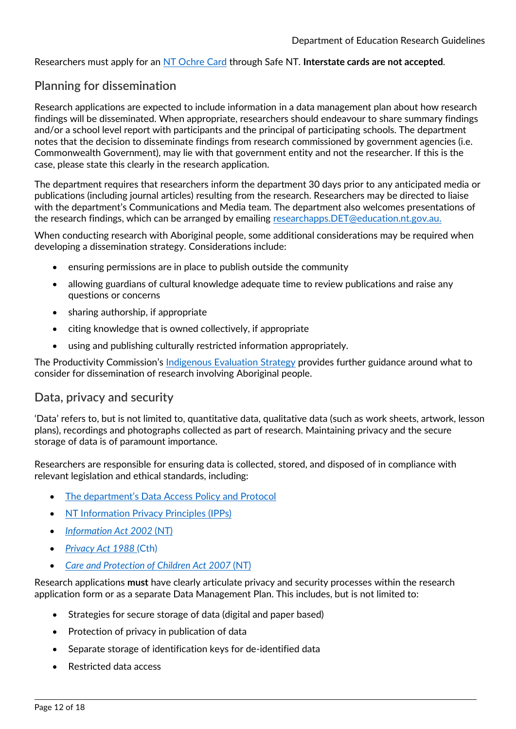Researchers must apply for an [NT Ochre Card](https://forms.pfes.nt.gov.au/safent/Apply.aspx?App=WWC) through Safe NT. **Interstate cards are not accepted**.

### <span id="page-11-0"></span>**Planning for dissemination**

Research applications are expected to include information in a data management plan about how research findings will be disseminated. When appropriate, researchers should endeavour to share summary findings and/or a school level report with participants and the principal of participating schools. The department notes that the decision to disseminate findings from research commissioned by government agencies (i.e. Commonwealth Government), may lie with that government entity and not the researcher. If this is the case, please state this clearly in the research application.

The department requires that researchers inform the department 30 days prior to any anticipated media or publications (including journal articles) resulting from the research. Researchers may be directed to liaise with the department's Communications and Media team. The department also welcomes presentations of the research findings, which can be arranged by emailing [researchapps.DET@education.nt.gov.au.](mailto:researchapps.DET@education.nt.gov.au)

When conducting research with Aboriginal people, some additional considerations may be required when developing a dissemination strategy. Considerations include:

- ensuring permissions are in place to publish outside the community
- allowing guardians of cultural knowledge adequate time to review publications and raise any questions or concerns
- sharing authorship, if appropriate
- citing knowledge that is owned collectively, if appropriate
- using and publishing culturally restricted information appropriately.

The Productivity Commission's [Indigenous Evaluation Strategy](https://www.pc.gov.au/inquiries/completed/indigenous-evaluation/strategy/indigenous-evaluation-strategy.pdf) provides further guidance around what to consider for dissemination of research involving Aboriginal people.

### <span id="page-11-1"></span>**Data, privacy and security**

'Data' refers to, but is not limited to, quantitative data, qualitative data (such as work sheets, artwork, lesson plans), recordings and photographs collected as part of research. Maintaining privacy and the secure storage of data is of paramount importance.

Researchers are responsible for ensuring data is collected, stored, and disposed of in compliance with relevant legislation and ethical standards, including:

- [The department's Data Access Policy and Protocol](https://education.nt.gov.au/education/policies/data-access)
- [NT Information Privacy Principles](https://infocomm.nt.gov.au/privacy/information-privacy-principles) (IPPs)
- *[Information Act 2002](https://legislation.nt.gov.au/en/Legislation/INFORMATION-ACT-2002)* (NT)
- *[Privacy Act 1988](https://www.legislation.gov.au/details/c2014c00076)* (Cth)
- *[Care and Protection of Children Act 2007](https://legislation.nt.gov.au/Legislation/CARE-AND-PROTECTION-OF-CHILDREN-ACT-2007)* (NT)

Research applications **must** have clearly articulate privacy and security processes within the research application form or as a separate Data Management Plan. This includes, but is not limited to:

- Strategies for secure storage of data (digital and paper based)
- Protection of privacy in publication of data
- Separate storage of identification keys for de-identified data
- Restricted data access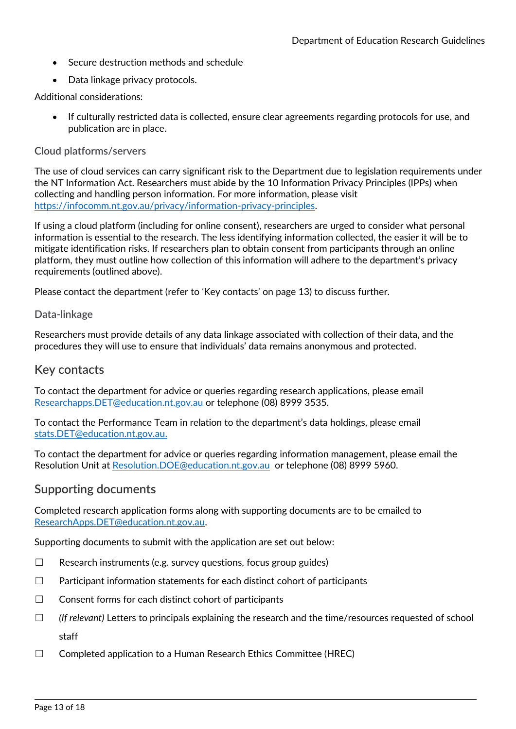- Secure destruction methods and schedule
- Data linkage privacy protocols.

Additional considerations:

• If culturally restricted data is collected, ensure clear agreements regarding protocols for use, and publication are in place.

#### <span id="page-12-0"></span>**Cloud platforms/servers**

The use of cloud services can carry significant risk to the Department due to legislation requirements under the NT Information Act. Researchers must abide by the 10 Information Privacy Principles (IPPs) when collecting and handling person information. For more information, please visit [https://infocomm.nt.gov.au/privacy/information-privacy-principles.](https://infocomm.nt.gov.au/privacy/information-privacy-principles)

If using a cloud platform (including for online consent), researchers are urged to consider what personal information is essential to the research. The less identifying information collected, the easier it will be to mitigate identification risks. If researchers plan to obtain consent from participants through an online platform, they must outline how collection of this information will adhere to the department's privacy requirements (outlined above).

Please contact the department (refer to 'Key contacts' on page 13) to discuss further.

#### <span id="page-12-1"></span>**Data-linkage**

Researchers must provide details of any data linkage associated with collection of their data, and the procedures they will use to ensure that individuals' data remains anonymous and protected.

#### <span id="page-12-2"></span>**Key contacts**

To contact the department for advice or queries regarding research applications, please email [Researchapps.DET@education.nt.gov.au](mailto:Researchapps.DET@education.nt.gov.au) or telephone (08) 8999 3535.

To contact the Performance Team in relation to the department's data holdings, please email [stats.DET@education.nt.gov.au.](mailto:stats.DET@education.nt.gov.au)

To contact the department for advice or queries regarding information management, please email the Resolution Unit at [Resolution.DOE@education.nt.gov.au](mailto:Resolution.DOE@education.nt.gov.au) or telephone (08) 8999 5960.

#### <span id="page-12-3"></span>**Supporting documents**

Completed research application forms along with supporting documents are to be emailed to [ResearchApps.DET@education.nt.gov.au.](mailto:ResearchApps.DET@education.nt.gov.au) 

Supporting documents to submit with the application are set out below:

- $\Box$  Research instruments (e.g. survey questions, focus group guides)
- $\Box$  Participant information statements for each distinct cohort of participants
- $\Box$  Consent forms for each distinct cohort of participants
- ☐ *(If relevant)* Letters to principals explaining the research and the time/resources requested of school staff
- $\Box$  Completed application to a Human Research Ethics Committee (HREC)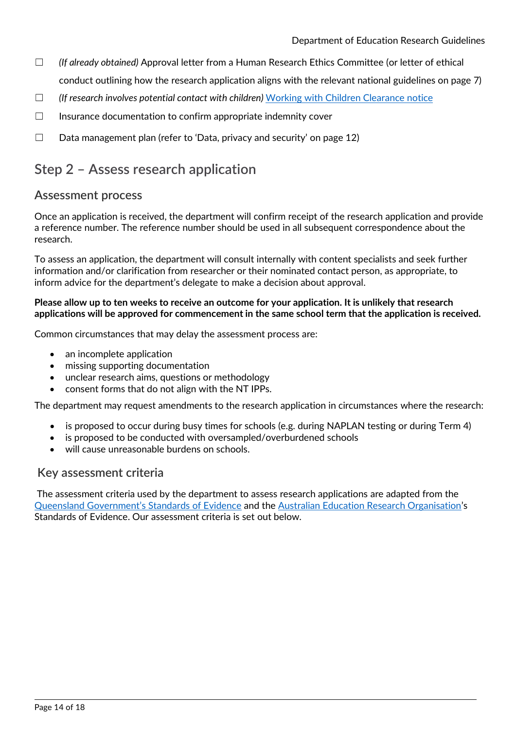- ☐ *(If already obtained)* Approval letter from a Human Research Ethics Committee (or letter of ethical conduct outlining how the research application aligns with the relevant national guidelines on page 7)
- ☐ *(If research involves potential contact with children)* [Working with Children Clearance notice](https://forms.pfes.nt.gov.au/safent/Apply.aspx?App=WWC)
- $\Box$  Insurance documentation to confirm appropriate indemnity cover
- $\Box$  Data management plan (refer to 'Data, privacy and security' on page 12)

# <span id="page-13-0"></span>**Step 2 – Assess research application**

### <span id="page-13-1"></span>**Assessment process**

Once an application is received, the department will confirm receipt of the research application and provide a reference number. The reference number should be used in all subsequent correspondence about the research.

To assess an application, the department will consult internally with content specialists and seek further information and/or clarification from researcher or their nominated contact person, as appropriate, to inform advice for the department's delegate to make a decision about approval.

#### **Please allow up to ten weeks to receive an outcome for your application. It is unlikely that research applications will be approved for commencement in the same school term that the application is received.**

Common circumstances that may delay the assessment process are:

- an incomplete application
- missing supporting documentation
- unclear research aims, questions or methodology
- consent forms that do not align with the NT IPPs.

The department may request amendments to the research application in circumstances where the research:

- is proposed to occur during busy times for schools (e.g. during NAPLAN testing or during Term 4)
- is proposed to be conducted with oversampled/overburdened schools
- will cause unreasonable burdens on schools.

### <span id="page-13-2"></span>**Key assessment criteria**

The assessment criteria used by the department to assess research applications are adapted from the [Queensland Government's Standards of Evidence](https://qed.qld.gov.au/our-publications/managementandframeworks/Documents/evidence/standards-of-evidence.pdf) and the [Australian Education Research Organisation](https://edresearch.edu.au/)'s Standards of Evidence. Our assessment criteria is set out below.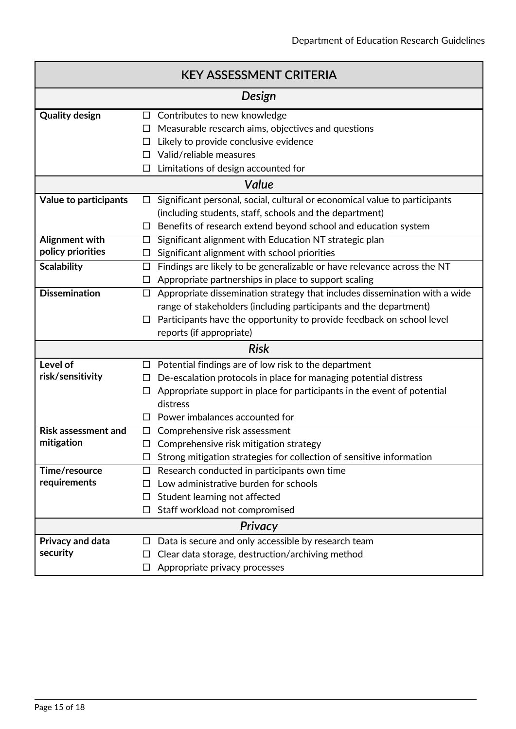| <b>KEY ASSESSMENT CRITERIA</b> |        |                                                                            |  |
|--------------------------------|--------|----------------------------------------------------------------------------|--|
|                                |        | Design                                                                     |  |
| <b>Quality design</b>          |        | $\Box$ Contributes to new knowledge                                        |  |
|                                | ப      | Measurable research aims, objectives and questions                         |  |
|                                | □      | Likely to provide conclusive evidence                                      |  |
|                                | П      | Valid/reliable measures                                                    |  |
|                                | $\Box$ | Limitations of design accounted for                                        |  |
|                                |        | Value                                                                      |  |
| <b>Value to participants</b>   | □      | Significant personal, social, cultural or economical value to participants |  |
|                                |        | (including students, staff, schools and the department)                    |  |
|                                | □      | Benefits of research extend beyond school and education system             |  |
| Alignment with                 | □      | Significant alignment with Education NT strategic plan                     |  |
| policy priorities              | ப      | Significant alignment with school priorities                               |  |
| <b>Scalability</b>             | $\Box$ | Findings are likely to be generalizable or have relevance across the NT    |  |
|                                | □      | Appropriate partnerships in place to support scaling                       |  |
| <b>Dissemination</b>           | $\Box$ | Appropriate dissemination strategy that includes dissemination with a wide |  |
|                                |        | range of stakeholders (including participants and the department)          |  |
|                                | $\Box$ | Participants have the opportunity to provide feedback on school level      |  |
|                                |        | reports (if appropriate)                                                   |  |
|                                |        | <b>Risk</b>                                                                |  |
| Level of                       | □      | Potential findings are of low risk to the department                       |  |
| risk/sensitivity               | ப      | De-escalation protocols in place for managing potential distress           |  |
|                                | $\Box$ | Appropriate support in place for participants in the event of potential    |  |
|                                |        | distress                                                                   |  |
|                                | □      | Power imbalances accounted for                                             |  |
| <b>Risk assessment and</b>     | □      | Comprehensive risk assessment                                              |  |
| mitigation                     | $\Box$ | Comprehensive risk mitigation strategy                                     |  |
|                                |        | Strong mitigation strategies for collection of sensitive information       |  |
| Time/resource                  | $\Box$ | Research conducted in participants own time                                |  |
| requirements                   | П      | Low administrative burden for schools                                      |  |
|                                | $\Box$ | Student learning not affected                                              |  |
|                                | □      | Staff workload not compromised                                             |  |
| Privacy                        |        |                                                                            |  |
| Privacy and data               | □      | Data is secure and only accessible by research team                        |  |
| security                       | ப      | Clear data storage, destruction/archiving method                           |  |
|                                | □      | Appropriate privacy processes                                              |  |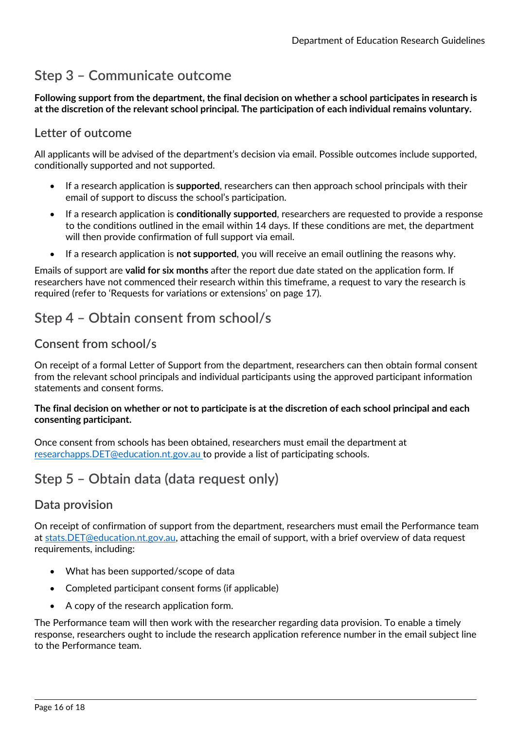# <span id="page-15-0"></span>**Step 3 – Communicate outcome**

**Following support from the department, the final decision on whether a school participates in research is at the discretion of the relevant school principal. The participation of each individual remains voluntary.**

### <span id="page-15-1"></span>**Letter of outcome**

All applicants will be advised of the department's decision via email. Possible outcomes include supported, conditionally supported and not supported.

- If a research application is **supported**, researchers can then approach school principals with their email of support to discuss the school's participation.
- If a research application is **conditionally supported**, researchers are requested to provide a response to the conditions outlined in the email within 14 days. If these conditions are met, the department will then provide confirmation of full support via email.
- If a research application is **not supported**, you will receive an email outlining the reasons why.

Emails of support are **valid for six months** after the report due date stated on the application form. If researchers have not commenced their research within this timeframe, a request to vary the research is required (refer to 'Requests for variations or extensions' on page 17).

# <span id="page-15-2"></span>**Step 4 – Obtain consent from school/s**

### <span id="page-15-3"></span>**Consent from school/s**

On receipt of a formal Letter of Support from the department, researchers can then obtain formal consent from the relevant school principals and individual participants using the approved participant information statements and consent forms.

#### **The final decision on whether or not to participate is at the discretion of each school principal and each consenting participant.**

Once consent from schools has been obtained, researchers must email the department at [researchapps.DET@education.nt.gov.au](mailto:Researchapps.DET@education.nt.gov.au) to provide a list of participating schools.

# <span id="page-15-4"></span>**Step 5 – Obtain data (data request only)**

### <span id="page-15-5"></span>**Data provision**

On receipt of confirmation of support from the department, researchers must email the Performance team at [stats.DET@education.nt.gov.au,](mailto:stats.DET@education.nt.gov.au) attaching the email of support, with a brief overview of data request requirements, including:

- What has been supported/scope of data
- Completed participant consent forms (if applicable)
- A copy of the research application form.

The Performance team will then work with the researcher regarding data provision. To enable a timely response, researchers ought to include the research application reference number in the email subject line to the Performance team.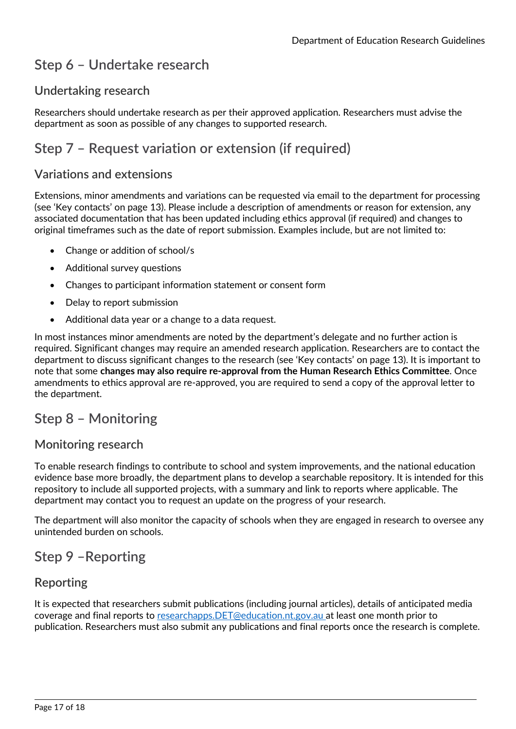# <span id="page-16-0"></span>**Step 6 – Undertake research**

# <span id="page-16-1"></span>**Undertaking research**

Researchers should undertake research as per their approved application. Researchers must advise the department as soon as possible of any changes to supported research.

# <span id="page-16-2"></span>**Step 7 – Request variation or extension (if required)**

### <span id="page-16-3"></span>**Variations and extensions**

Extensions, minor amendments and variations can be requested via email to the department for processing (see 'Key contacts' on page 13). Please include a description of amendments or reason for extension, any associated documentation that has been updated including ethics approval (if required) and changes to original timeframes such as the date of report submission. Examples include, but are not limited to:

- Change or addition of school/s
- Additional survey questions
- Changes to participant information statement or consent form
- Delay to report submission
- Additional data year or a change to a data request.

In most instances minor amendments are noted by the department's delegate and no further action is required. Significant changes may require an amended research application. Researchers are to contact the department to discuss significant changes to the research (see 'Key contacts' on page 13). It is important to note that some **changes may also require re-approval from the Human Research Ethics Committee**. Once amendments to ethics approval are re-approved, you are required to send a copy of the approval letter to the department.

# <span id="page-16-4"></span>**Step 8 – Monitoring**

### <span id="page-16-5"></span>**Monitoring research**

To enable research findings to contribute to school and system improvements, and the national education evidence base more broadly, the department plans to develop a searchable repository. It is intended for this repository to include all supported projects, with a summary and link to reports where applicable. The department may contact you to request an update on the progress of your research.

The department will also monitor the capacity of schools when they are engaged in research to oversee any unintended burden on schools.

# <span id="page-16-6"></span>**Step 9 –Reporting**

### <span id="page-16-7"></span>**Reporting**

It is expected that researchers submit publications (including journal articles), details of anticipated media coverage and final reports to [researchapps.DET@education.nt.gov.au](mailto:Researchapps.DET@education.nt.gov.au) at least one month prior to publication. Researchers must also submit any publications and final reports once the research is complete.